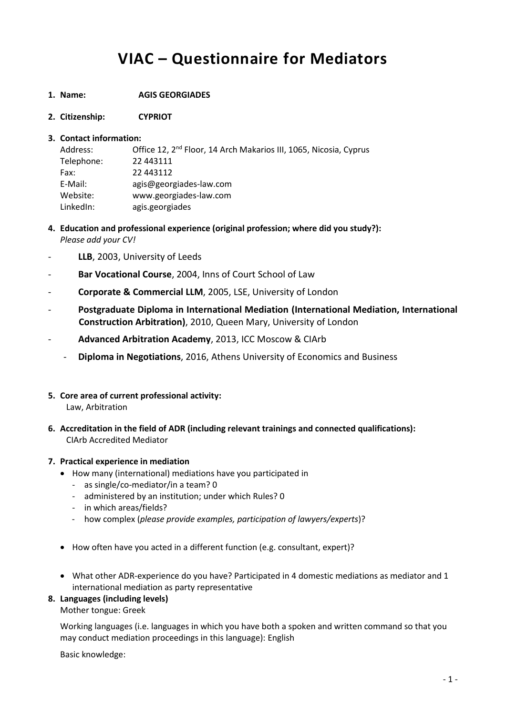# **VIAC – Questionnaire for Mediators**

- **1. Name: AGIS GEORGIADES**
- **2. Citizenship: CYPRIOT**

### **3. Contact information:**

| Address:   | Office 12, 2 <sup>nd</sup> Floor, 14 Arch Makarios III, 1065, Nicosia, Cyprus |
|------------|-------------------------------------------------------------------------------|
| Telephone: | 22 443111                                                                     |
| Fax:       | 22 443112                                                                     |
| E-Mail:    | agis@georgiades-law.com                                                       |
| Website:   | www.georgiades-law.com                                                        |
| LinkedIn:  | agis.georgiades                                                               |

- **4. Education and professional experience (original profession; where did you study?):** *Please add your CV!*
- LLB, 2003, University of Leeds
- **Bar Vocational Course**, 2004, Inns of Court School of Law
- **Corporate & Commercial LLM**, 2005, LSE, University of London
- **Postgraduate Diploma in International Mediation (International Mediation, International Construction Arbitration)**, 2010, Queen Mary, University of London
- **Advanced Arbitration Academy**, 2013, ICC Moscow & CIArb
	- **Diploma in Negotiations**, 2016, Athens University of Economics and Business
- **5. Core area of current professional activity:** Law, Arbitration
- **6. Accreditation in the field of ADR (including relevant trainings and connected qualifications):** CIArb Accredited Mediator

# **7. Practical experience in mediation**

- How many (international) mediations have you participated in
	- as single/co-mediator/in a team? 0
	- administered by an institution; under which Rules? 0
	- in which areas/fields?
	- how complex (*please provide examples, participation of lawyers/experts*)?
- How often have you acted in a different function (e.g. consultant, expert)?
- What other ADR-experience do you have? Participated in 4 domestic mediations as mediator and 1 international mediation as party representative

# **8. Languages (including levels)**

Mother tongue: Greek

Working languages (i.e. languages in which you have both a spoken and written command so that you may conduct mediation proceedings in this language): English

Basic knowledge: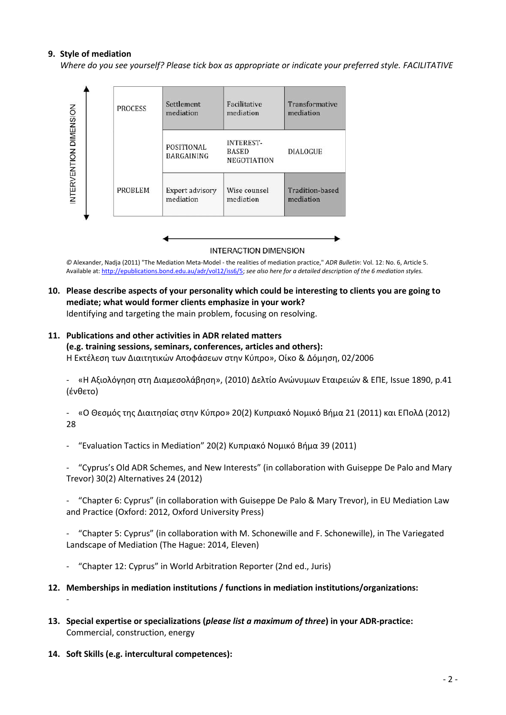### **9. Style of mediation**

*Where do you see yourself? Please tick box as appropriate or indicate your preferred style. FACILITATIVE*



**INTERACTION DIMENSION** 

*©* Alexander, Nadja (2011) "The Mediation Meta-Model - the realities of mediation practice," *ADR Bulletin*: Vol. 12: No. 6, Article 5. Available at: [http://epublications.bond.edu.au/adr/vol12/iss6/5;](http://epublications.bond.edu.au/adr/vol12/iss6/5) *see also here for a detailed description of the 6 mediation styles.*

**10. Please describe aspects of your personality which could be interesting to clients you are going to mediate; what would former clients emphasize in your work?** Identifying and targeting the main problem, focusing on resolving.

# **11. Publications and other activities in ADR related matters (e.g. training sessions, seminars, conferences, articles and others):**

Η Εκτέλεση των Διαιτητικών Αποφάσεων στην Κύπρο», Οίκο & Δόμηση, 02/2006

- «Η Αξιολόγηση στη Διαμεσολάβηση», (2010) Δελτίο Ανώνυμων Εταιρειών & ΕΠΕ, Issue 1890, p.41 (ένθετο)

- «Ο Θεσμός της Διαιτησίας στην Κύπρο» 20(2) Κυπριακό Νομικό Βήμα 21 (2011) και ΕΠολΔ (2012) 28

- "Evaluation Tactics in Mediation" 20(2) Κυπριακό Νομικό Βήμα 39 (2011)

- "Cyprus's Old ADR Schemes, and New Interests" (in collaboration with Guiseppe De Palo and Mary Trevor) 30(2) Alternatives 24 (2012)

- "Chapter 6: Cyprus" (in collaboration with Guiseppe De Palo & Mary Trevor), in EU Mediation Law and Practice (Oxford: 2012, Oxford University Press)

- "Chapter 5: Cyprus" (in collaboration with M. Schonewille and F. Schonewille), in The Variegated Landscape of Mediation (The Hague: 2014, Eleven)

- "Chapter 12: Cyprus" in World Arbitration Reporter (2nd ed., Juris)
- **12. Memberships in mediation institutions / functions in mediation institutions/organizations:** -
- **13. Special expertise or specializations (***please list a maximum of three***) in your ADR-practice:** Commercial, construction, energy
- **14. Soft Skills (e.g. intercultural competences):**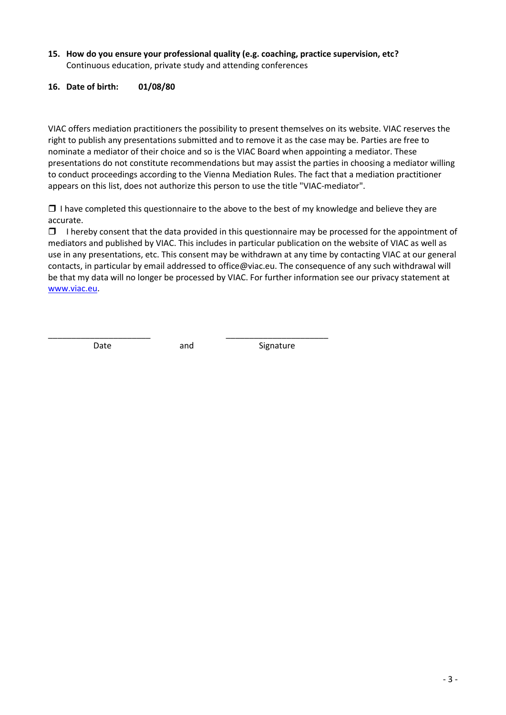- **15. How do you ensure your professional quality (e.g. coaching, practice supervision, etc?** Continuous education, private study and attending conferences
- **16. Date of birth: 01/08/80**

VIAC offers mediation practitioners the possibility to present themselves on its website. VIAC reserves the right to publish any presentations submitted and to remove it as the case may be. Parties are free to nominate a mediator of their choice and so is the VIAC Board when appointing a mediator. These presentations do not constitute recommendations but may assist the parties in choosing a mediator willing to conduct proceedings according to the Vienna Mediation Rules. The fact that a mediation practitioner appears on this list, does not authorize this person to use the title "VIAC-mediator".

 $\Box$  I have completed this questionnaire to the above to the best of my knowledge and believe they are accurate.

 $\Box$  I hereby consent that the data provided in this questionnaire may be processed for the appointment of mediators and published by VIAC. This includes in particular publication on the website of VIAC as well as use in any presentations, etc. This consent may be withdrawn at any time by contacting VIAC at our general contacts, in particular by email addressed to office@viac.eu. The consequence of any such withdrawal will be that my data will no longer be processed by VIAC. For further information see our privacy statement at [www.viac.eu.](http://www.viac.eu/en/privacy-statement)

\_\_\_\_\_\_\_\_\_\_\_\_\_\_\_\_\_\_\_\_\_\_ \_\_\_\_\_\_\_\_\_\_\_\_\_\_\_\_\_\_\_\_\_\_

Date and Signature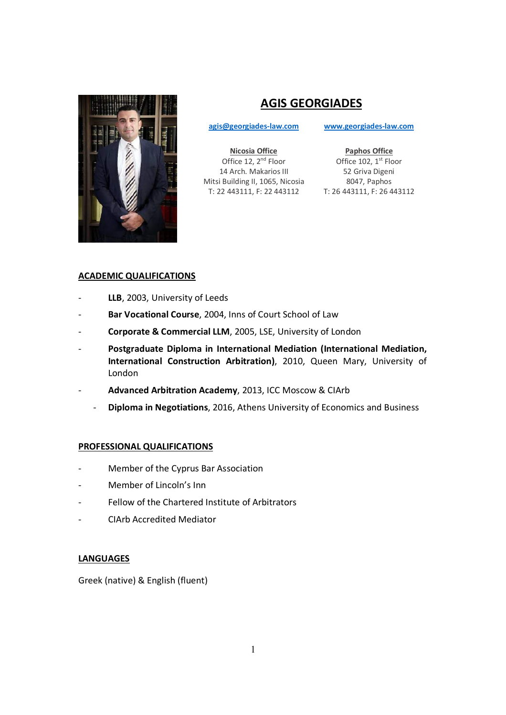

# **AGIS GEORGIADES**

**agis@georgiades-law.com www.georgiades-law.com**

**Nicosia Office**  Office 12, 2<sup>nd</sup> Floor 14 Arch. Makarios III Mitsi Building II, 1065, Nicosia T: 22 443111, F: 22 443112 T: 26 443111, F: 26 443112

**Paphos Office**  Office 102, 1<sup>st</sup> Floor 52 Griva Digeni 8047, Paphos

# **ACADEMIC QUALIFICATIONS**

- LLB, 2003, University of Leeds
- Bar Vocational Course, 2004, Inns of Court School of Law
- Corporate & Commercial LLM, 2005, LSE, University of London
- **Postgraduate Diploma in International Mediation (International Mediation, International Construction Arbitration)**, 2010, Queen Mary, University of London
- **Advanced Arbitration Academy**, 2013, ICC Moscow & CIArb
	- **Diploma in Negotiations**, 2016, Athens University of Economics and Business

# **PROFESSIONAL QUALIFICATIONS**

- Member of the Cyprus Bar Association
- Member of Lincoln's Inn
- Fellow of the Chartered Institute of Arbitrators
- CIArb Accredited Mediator

# **LANGUAGES**

Greek (native) & English (fluent)